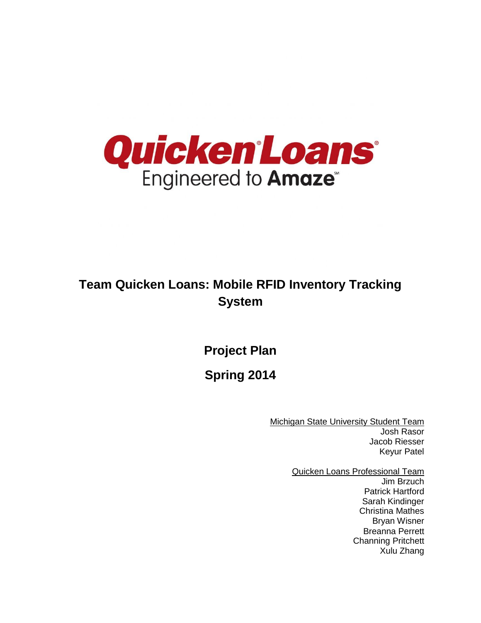

# **Team Quicken Loans: Mobile RFID Inventory Tracking System**

**Project Plan**

**Spring 2014**

**Michigan State University Student Team** Josh Rasor Jacob Riesser Keyur Patel

> Quicken Loans Professional Team Jim Brzuch Patrick Hartford Sarah Kindinger Christina Mathes Bryan Wisner Breanna Perrett Channing Pritchett Xulu Zhang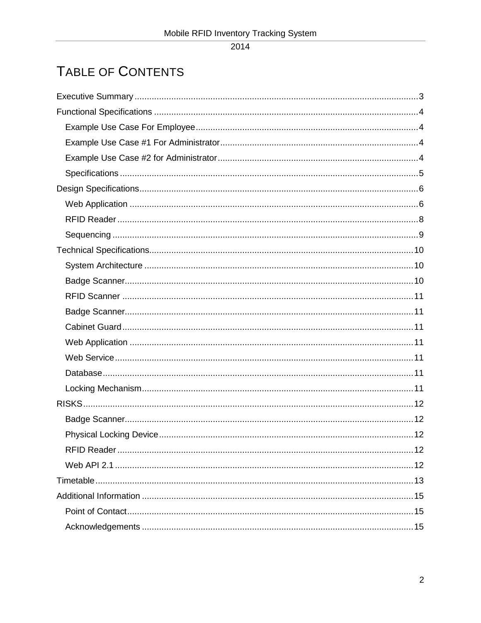$\overline{2014}$ 

# TABLE OF CONTENTS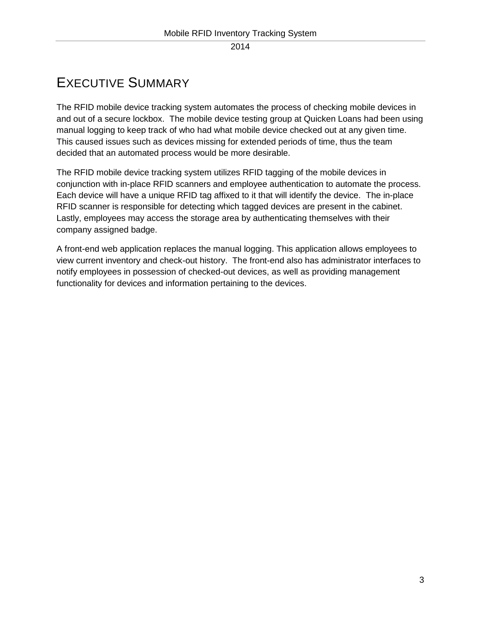# <span id="page-2-0"></span>EXECUTIVE SUMMARY

The RFID mobile device tracking system automates the process of checking mobile devices in and out of a secure lockbox. The mobile device testing group at Quicken Loans had been using manual logging to keep track of who had what mobile device checked out at any given time. This caused issues such as devices missing for extended periods of time, thus the team decided that an automated process would be more desirable.

The RFID mobile device tracking system utilizes RFID tagging of the mobile devices in conjunction with in-place RFID scanners and employee authentication to automate the process. Each device will have a unique RFID tag affixed to it that will identify the device. The in-place RFID scanner is responsible for detecting which tagged devices are present in the cabinet. Lastly, employees may access the storage area by authenticating themselves with their company assigned badge.

A front-end web application replaces the manual logging. This application allows employees to view current inventory and check-out history. The front-end also has administrator interfaces to notify employees in possession of checked-out devices, as well as providing management functionality for devices and information pertaining to the devices.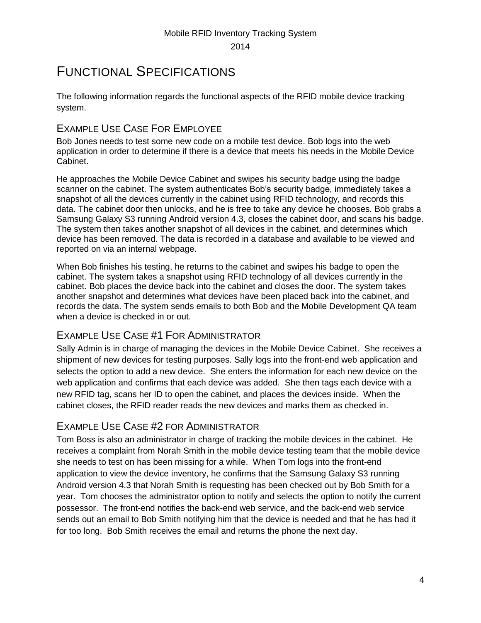# <span id="page-3-0"></span>FUNCTIONAL SPECIFICATIONS

The following information regards the functional aspects of the RFID mobile device tracking system.

## <span id="page-3-1"></span>EXAMPLE USE CASE FOR EMPLOYEE

Bob Jones needs to test some new code on a mobile test device. Bob logs into the web application in order to determine if there is a device that meets his needs in the Mobile Device Cabinet.

He approaches the Mobile Device Cabinet and swipes his security badge using the badge scanner on the cabinet. The system authenticates Bob's security badge, immediately takes a snapshot of all the devices currently in the cabinet using RFID technology, and records this data. The cabinet door then unlocks, and he is free to take any device he chooses. Bob grabs a Samsung Galaxy S3 running Android version 4.3, closes the cabinet door, and scans his badge. The system then takes another snapshot of all devices in the cabinet, and determines which device has been removed. The data is recorded in a database and available to be viewed and reported on via an internal webpage.

When Bob finishes his testing, he returns to the cabinet and swipes his badge to open the cabinet. The system takes a snapshot using RFID technology of all devices currently in the cabinet. Bob places the device back into the cabinet and closes the door. The system takes another snapshot and determines what devices have been placed back into the cabinet, and records the data. The system sends emails to both Bob and the Mobile Development QA team when a device is checked in or out.

## <span id="page-3-2"></span>EXAMPLE USE CASE #1 FOR ADMINISTRATOR

Sally Admin is in charge of managing the devices in the Mobile Device Cabinet. She receives a shipment of new devices for testing purposes. Sally logs into the front-end web application and selects the option to add a new device. She enters the information for each new device on the web application and confirms that each device was added. She then tags each device with a new RFID tag, scans her ID to open the cabinet, and places the devices inside. When the cabinet closes, the RFID reader reads the new devices and marks them as checked in.

## <span id="page-3-3"></span>EXAMPLE USE CASE #2 FOR ADMINISTRATOR

Tom Boss is also an administrator in charge of tracking the mobile devices in the cabinet. He receives a complaint from Norah Smith in the mobile device testing team that the mobile device she needs to test on has been missing for a while. When Tom logs into the front-end application to view the device inventory, he confirms that the Samsung Galaxy S3 running Android version 4.3 that Norah Smith is requesting has been checked out by Bob Smith for a year. Tom chooses the administrator option to notify and selects the option to notify the current possessor. The front-end notifies the back-end web service, and the back-end web service sends out an email to Bob Smith notifying him that the device is needed and that he has had it for too long. Bob Smith receives the email and returns the phone the next day.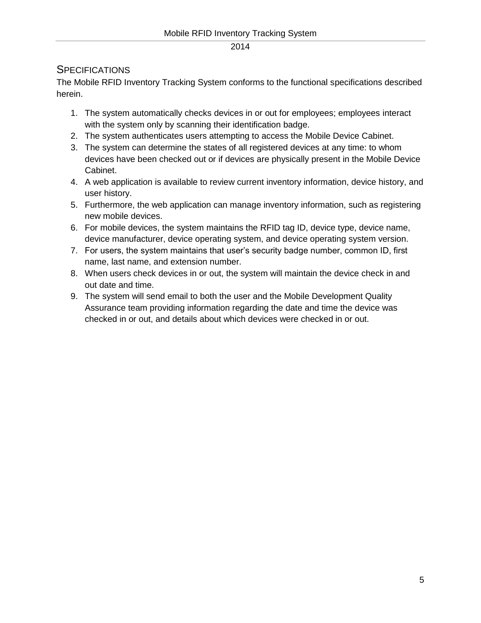#### <span id="page-4-0"></span>**SPECIFICATIONS**

The Mobile RFID Inventory Tracking System conforms to the functional specifications described herein.

- 1. The system automatically checks devices in or out for employees; employees interact with the system only by scanning their identification badge.
- 2. The system authenticates users attempting to access the Mobile Device Cabinet.
- 3. The system can determine the states of all registered devices at any time: to whom devices have been checked out or if devices are physically present in the Mobile Device Cabinet.
- 4. A web application is available to review current inventory information, device history, and user history.
- 5. Furthermore, the web application can manage inventory information, such as registering new mobile devices.
- 6. For mobile devices, the system maintains the RFID tag ID, device type, device name, device manufacturer, device operating system, and device operating system version.
- 7. For users, the system maintains that user's security badge number, common ID, first name, last name, and extension number.
- 8. When users check devices in or out, the system will maintain the device check in and out date and time.
- 9. The system will send email to both the user and the Mobile Development Quality Assurance team providing information regarding the date and time the device was checked in or out, and details about which devices were checked in or out.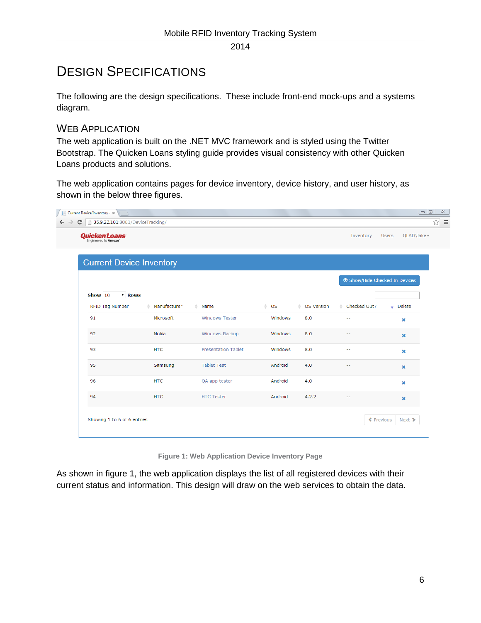# <span id="page-5-0"></span>DESIGN SPECIFICATIONS

The following are the design specifications. These include front-end mock-ups and a systems diagram.

## <span id="page-5-1"></span>WEB APPLICATION

The web application is built on the .NET MVC framework and is styled using the Twitter Bootstrap. The Quicken Loans styling guide provides visual consistency with other Quicken Loans products and solutions.

The web application contains pages for device inventory, device history, and user history, as shown in the below three figures.

| <b>Quicken Loans</b>                    |                   |                            |                |              | Inventory                    | QLAD\Jake -<br><b>Users</b> |
|-----------------------------------------|-------------------|----------------------------|----------------|--------------|------------------------------|-----------------------------|
|                                         |                   |                            |                |              |                              |                             |
| <b>Current Device Inventory</b>         |                   |                            |                |              |                              |                             |
|                                         |                   |                            |                |              | Show/Hide Checked In Devices |                             |
| Show 10<br>$\overline{\mathbf{r}}$ Rows |                   |                            |                |              |                              |                             |
| <b>RFID Tag Number</b>                  | Manufacturer<br>۵ | $#$ Name                   | $\triangle$ OS | ♦ OS Version | ♦ Checked Out?               | $\bullet$ Delete            |
| 91                                      | Microsoft         | <b>Windows Tester</b>      | Windows        | 8.0          | $\sim$ $\sim$                | ×                           |
| 92                                      | Nokia             | <b>Windows Backup</b>      | Windows        | 8.0          | $\sim$ $\sim$                | ×                           |
| 93                                      | <b>HTC</b>        | <b>Presentation Tablet</b> | Windows        | 8.0          | ÷.                           | ×                           |
| 95                                      | Samsung           | <b>Tablet Test</b>         | Android        | 4.0          | $\sim$ $\sim$                | ×                           |
| 96                                      | <b>HTC</b>        | QA app tester              | Android        | 4.0          | $\sim$ $-$                   | ×                           |
| 94                                      | <b>HTC</b>        | <b>HTC Tester</b>          | Android        | 4.2.2        | 44                           | ×                           |
|                                         |                   |                            |                |              |                              |                             |

**Figure 1: Web Application Device Inventory Page**

As shown in figure 1, the web application displays the list of all registered devices with their current status and information. This design will draw on the web services to obtain the data.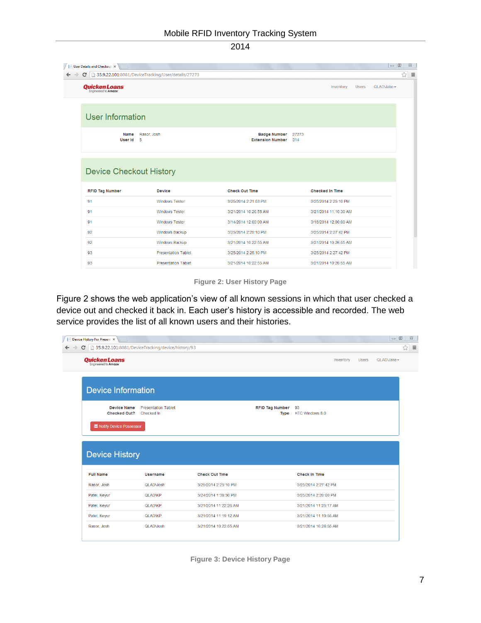|                                | C 35.9.22.101:8081/DeviceTracking/User/details/27273 |                                                    |       |                                                |              |            |
|--------------------------------|------------------------------------------------------|----------------------------------------------------|-------|------------------------------------------------|--------------|------------|
| <b>Quicken Loans</b>           |                                                      |                                                    |       | Inventory                                      | <b>Users</b> | QLADVake - |
| User Information               |                                                      |                                                    |       |                                                |              |            |
| Name<br>User Id                | Rasor, Josh<br>5                                     | <b>Badge Number</b><br><b>Extension Number</b> 314 | 27273 |                                                |              |            |
|                                |                                                      |                                                    |       |                                                |              |            |
| <b>Device Checkout History</b> |                                                      |                                                    |       |                                                |              |            |
| <b>RFID Tag Number</b><br>91   | <b>Device</b><br><b>Windows Tester</b>               | <b>Check Out Time</b><br>3/25/2014 2:21:53 PM      |       | <b>Checked In Time</b><br>3/25/2014 2:25:10 PM |              |            |
| 91                             | <b>Windows Tester</b>                                | 3/21/2014 10:26:55 AM                              |       | 3/21/2014 11:10:30 AM                          |              |            |
| 91                             | <b>Windows Tester</b>                                | 3/14/2014 12:00:00 AM                              |       | 3/18/2014 12:00:00 AM                          |              |            |
| 92                             | <b>Windows Backup</b>                                | 3/25/2014 2:25:10 PM                               |       | 3/25/2014 2:27:42 PM                           |              |            |
| 92                             | Windows Backup                                       | 3/21/2014 10:22:55 AM                              |       | 3/21/2014 10:26:55 AM                          |              |            |
| 93                             | <b>Presentation Tablet</b>                           | 3/25/2014 2:25:10 PM                               |       | 3/25/2014 2:27:42 PM                           |              |            |

**Figure 2: User History Page**

Figure 2 shows the web application's view of all known sessions in which that user checked a device out and checked it back in. Each user's history is accessible and recorded. The web service provides the list of all known users and their histories.

| 35.9.22.101:8081/DeviceTracking/device/history/93<br>$\mathbf{C}$ |                                          |                       |                                       |                       |              |              |
|-------------------------------------------------------------------|------------------------------------------|-----------------------|---------------------------------------|-----------------------|--------------|--------------|
| <b>Quicken Loans</b>                                              |                                          |                       |                                       | Inventory             | <b>Users</b> | $QLADMake -$ |
| <b>Device Information</b>                                         |                                          |                       |                                       |                       |              |              |
| <b>Device Name</b>                                                | <b>Presentation Tablet</b><br>Checked In |                       | <b>RFID Tag Number</b><br><b>Type</b> | 93<br>HTC Windows 8.0 |              |              |
| <b>Checked Out?</b><br>M Notify Device Possessor                  |                                          |                       |                                       |                       |              |              |
| <b>Device History</b>                                             |                                          |                       |                                       |                       |              |              |
| <b>Full Name</b>                                                  | <b>Username</b>                          | <b>Check Out Time</b> |                                       | <b>Check In Time</b>  |              |              |
| Rasor, Josh                                                       | QLADVosh                                 | 3/25/2014 2:25:10 PM  |                                       | 3/25/2014 2:27:42 PM  |              |              |
| Patel, Keyur                                                      | <b>QLAD\KP</b>                           | 3/24/2014 1:38:30 PM  |                                       | 3/25/2014 2:20:00 PM  |              |              |
| Patel, Keyur                                                      | <b>QLADVKP</b>                           | 3/21/2014 11:22:26 AM |                                       | 3/21/2014 11:25:17 AM |              |              |
| Patel, Keyur                                                      | <b>QLADVKP</b>                           | 3/21/2014 11:19:12 AM |                                       | 3/21/2014 11:19:55 AM |              |              |

**Figure 3: Device History Page**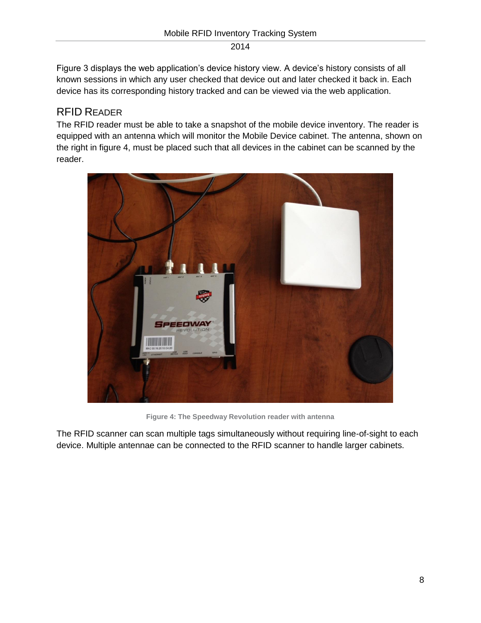Figure 3 displays the web application's device history view. A device's history consists of all known sessions in which any user checked that device out and later checked it back in. Each device has its corresponding history tracked and can be viewed via the web application.

## <span id="page-7-0"></span>RFID READER

The RFID reader must be able to take a snapshot of the mobile device inventory. The reader is equipped with an antenna which will monitor the Mobile Device cabinet. The antenna, shown on the right in figure 4, must be placed such that all devices in the cabinet can be scanned by the reader.



**Figure 4: The Speedway Revolution reader with antenna**

The RFID scanner can scan multiple tags simultaneously without requiring line-of-sight to each device. Multiple antennae can be connected to the RFID scanner to handle larger cabinets.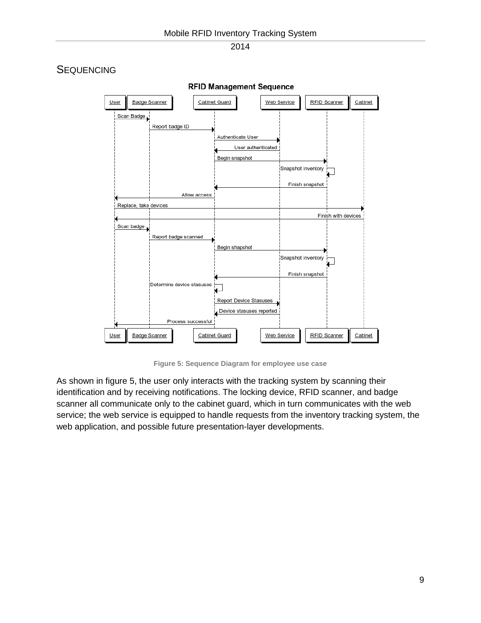

#### <span id="page-8-0"></span>**SEQUENCING**

**Figure 5: Sequence Diagram for employee use case**

As shown in figure 5, the user only interacts with the tracking system by scanning their identification and by receiving notifications. The locking device, RFID scanner, and badge scanner all communicate only to the cabinet guard, which in turn communicates with the web service; the web service is equipped to handle requests from the inventory tracking system, the web application, and possible future presentation-layer developments.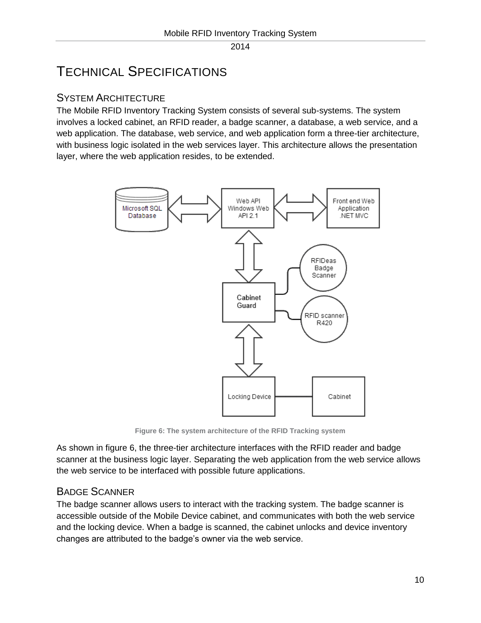# <span id="page-9-0"></span>TECHNICAL SPECIFICATIONS

## <span id="page-9-1"></span>SYSTEM ARCHITECTURE

The Mobile RFID Inventory Tracking System consists of several sub-systems. The system involves a locked cabinet, an RFID reader, a badge scanner, a database, a web service, and a web application. The database, web service, and web application form a three-tier architecture, with business logic isolated in the web services layer. This architecture allows the presentation layer, where the web application resides, to be extended.



**Figure 6: The system architecture of the RFID Tracking system**

As shown in figure 6, the three-tier architecture interfaces with the RFID reader and badge scanner at the business logic layer. Separating the web application from the web service allows the web service to be interfaced with possible future applications.

## <span id="page-9-2"></span>BADGE SCANNER

The badge scanner allows users to interact with the tracking system. The badge scanner is accessible outside of the Mobile Device cabinet, and communicates with both the web service and the locking device. When a badge is scanned, the cabinet unlocks and device inventory changes are attributed to the badge's owner via the web service.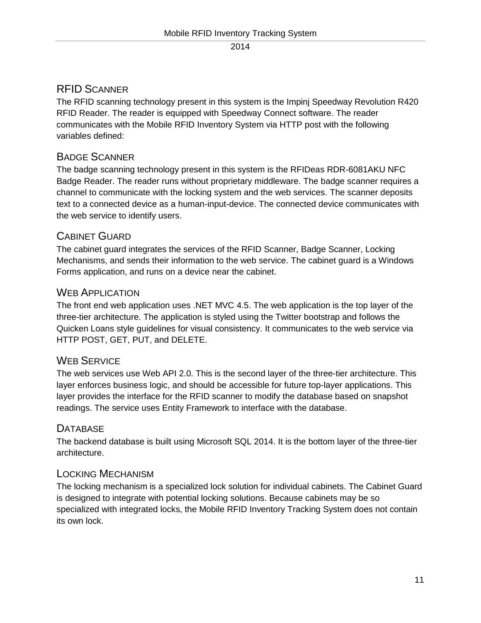## <span id="page-10-0"></span>RFID SCANNER

The RFID scanning technology present in this system is the Impinj Speedway Revolution R420 RFID Reader. The reader is equipped with Speedway Connect software. The reader communicates with the Mobile RFID Inventory System via HTTP post with the following variables defined:

## <span id="page-10-1"></span>BADGE SCANNER

The badge scanning technology present in this system is the RFIDeas RDR-6081AKU NFC Badge Reader. The reader runs without proprietary middleware. The badge scanner requires a channel to communicate with the locking system and the web services. The scanner deposits text to a connected device as a human-input-device. The connected device communicates with the web service to identify users.

## <span id="page-10-2"></span>CABINET GUARD

The cabinet guard integrates the services of the RFID Scanner, Badge Scanner, Locking Mechanisms, and sends their information to the web service. The cabinet guard is a Windows Forms application, and runs on a device near the cabinet.

### <span id="page-10-3"></span>WEB APPLICATION

The front end web application uses .NET MVC 4.5. The web application is the top layer of the three-tier architecture. The application is styled using the Twitter bootstrap and follows the Quicken Loans style guidelines for visual consistency. It communicates to the web service via HTTP POST, GET, PUT, and DELETE.

## <span id="page-10-4"></span>WEB SERVICE

The web services use Web API 2.0. This is the second layer of the three-tier architecture. This layer enforces business logic, and should be accessible for future top-layer applications. This layer provides the interface for the RFID scanner to modify the database based on snapshot readings. The service uses Entity Framework to interface with the database.

## <span id="page-10-5"></span>**DATABASE**

The backend database is built using Microsoft SQL 2014. It is the bottom layer of the three-tier architecture.

## <span id="page-10-6"></span>LOCKING MECHANISM

The locking mechanism is a specialized lock solution for individual cabinets. The Cabinet Guard is designed to integrate with potential locking solutions. Because cabinets may be so specialized with integrated locks, the Mobile RFID Inventory Tracking System does not contain its own lock.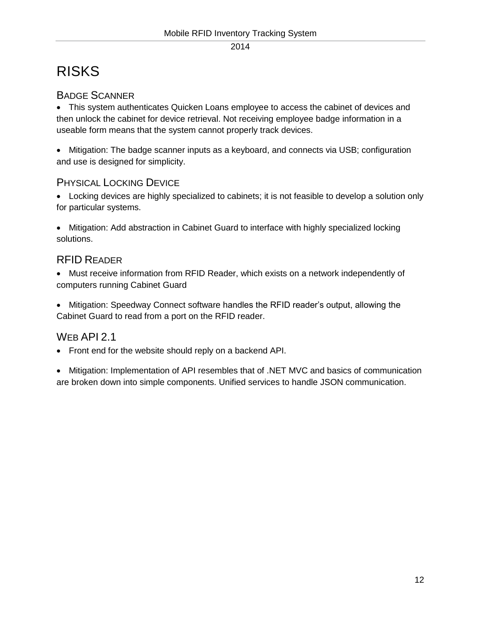# <span id="page-11-0"></span>RISKS

## <span id="page-11-1"></span>BADGE SCANNER

 This system authenticates Quicken Loans employee to access the cabinet of devices and then unlock the cabinet for device retrieval. Not receiving employee badge information in a useable form means that the system cannot properly track devices.

 Mitigation: The badge scanner inputs as a keyboard, and connects via USB; configuration and use is designed for simplicity.

## <span id="page-11-2"></span>PHYSICAL LOCKING DEVICE

 Locking devices are highly specialized to cabinets; it is not feasible to develop a solution only for particular systems.

 Mitigation: Add abstraction in Cabinet Guard to interface with highly specialized locking solutions.

## <span id="page-11-3"></span>RFID READER

 Must receive information from RFID Reader, which exists on a network independently of computers running Cabinet Guard

 Mitigation: Speedway Connect software handles the RFID reader's output, allowing the Cabinet Guard to read from a port on the RFID reader.

## <span id="page-11-4"></span>WEB API 2.1

- Front end for the website should reply on a backend API.
- Mitigation: Implementation of API resembles that of .NET MVC and basics of communication are broken down into simple components. Unified services to handle JSON communication.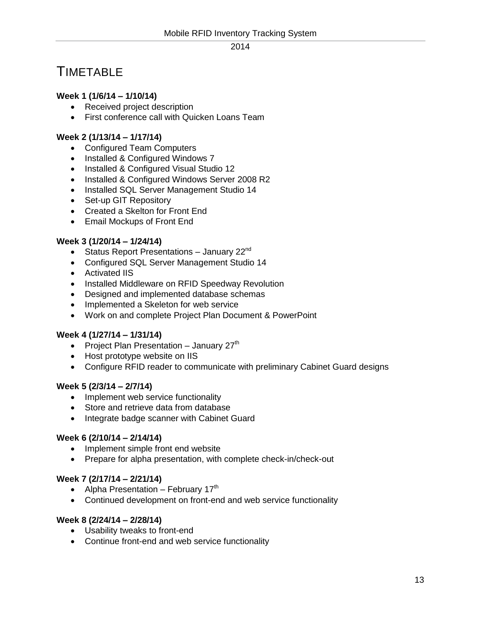## <span id="page-12-0"></span>**TIMETABLE**

#### **Week 1 (1/6/14 – 1/10/14)**

- Received project description
- First conference call with Quicken Loans Team

#### **Week 2 (1/13/14 – 1/17/14)**

- Configured Team Computers
- Installed & Configured Windows 7
- Installed & Configured Visual Studio 12
- Installed & Configured Windows Server 2008 R2
- Installed SQL Server Management Studio 14
- Set-up GIT Repository
- Created a Skelton for Front End
- Email Mockups of Front End

#### **Week 3 (1/20/14 – 1/24/14)**

- Status Report Presentations January  $22^{nd}$
- Configured SQL Server Management Studio 14
- Activated IIS
- Installed Middleware on RFID Speedway Revolution
- Designed and implemented database schemas
- Implemented a Skeleton for web service
- Work on and complete Project Plan Document & PowerPoint

#### **Week 4 (1/27/14 – 1/31/14)**

- Project Plan Presentation January  $27<sup>th</sup>$
- Host prototype website on IIS
- Configure RFID reader to communicate with preliminary Cabinet Guard designs

#### **Week 5 (2/3/14 – 2/7/14)**

- Implement web service functionality
- Store and retrieve data from database
- Integrate badge scanner with Cabinet Guard

#### **Week 6 (2/10/14 – 2/14/14)**

- Implement simple front end website
- Prepare for alpha presentation, with complete check-in/check-out

#### **Week 7 (2/17/14 – 2/21/14)**

- Alpha Presentation February  $17<sup>th</sup>$
- Continued development on front-end and web service functionality

#### **Week 8 (2/24/14 – 2/28/14)**

- Usability tweaks to front-end
- Continue front-end and web service functionality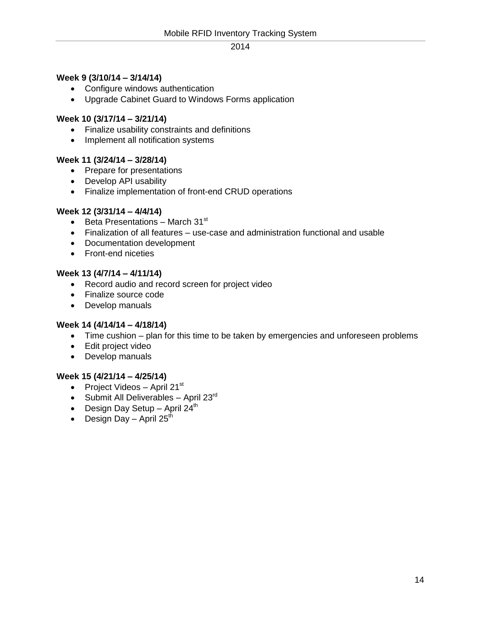#### **Week 9 (3/10/14 – 3/14/14)**

- Configure windows authentication
- Upgrade Cabinet Guard to Windows Forms application

#### **Week 10 (3/17/14 – 3/21/14)**

- Finalize usability constraints and definitions
- Implement all notification systems

#### **Week 11 (3/24/14 – 3/28/14)**

- Prepare for presentations
- Develop API usability
- Finalize implementation of front-end CRUD operations

#### **Week 12 (3/31/14 – 4/4/14)**

- $\bullet$  Beta Presentations March 31st
- Finalization of all features use-case and administration functional and usable
- Documentation development
- Front-end niceties

#### **Week 13 (4/7/14 – 4/11/14)**

- Record audio and record screen for project video
- Finalize source code
- Develop manuals

#### **Week 14 (4/14/14 – 4/18/14)**

- Time cushion plan for this time to be taken by emergencies and unforeseen problems
- Edit project video
- Develop manuals

#### **Week 15 (4/21/14 – 4/25/14)**

- Project Videos April 21 $st$
- $\bullet$  Submit All Deliverables April 23<sup>rd</sup>
- Design Day Setup April  $24<sup>th</sup>$
- Design Day April  $25<sup>th</sup>$